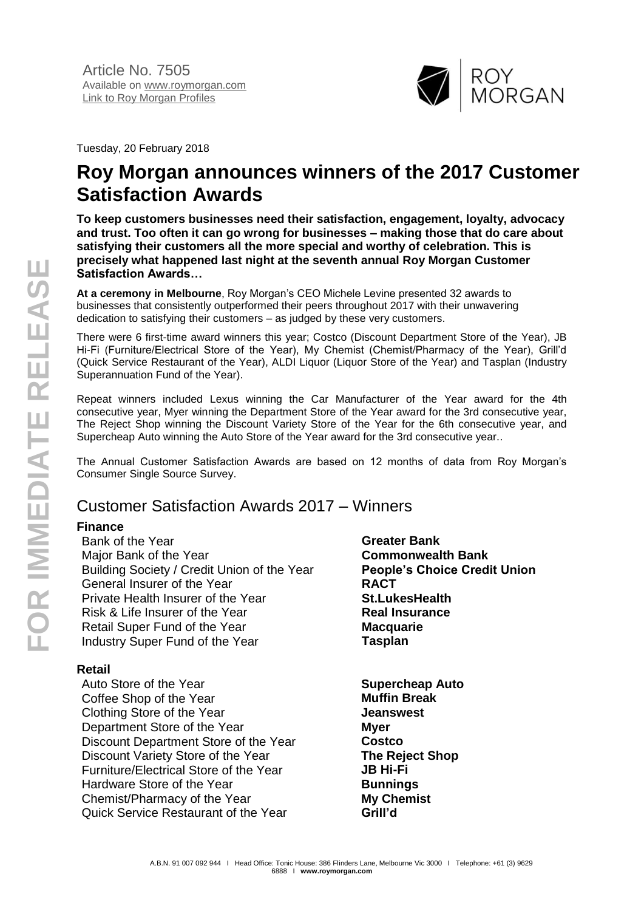

Tuesday, 20 February 2018

# **Roy Morgan announces winners of the 2017 Customer Satisfaction Awards**

**To keep customers businesses need their satisfaction, engagement, loyalty, advocacy and trust. Too often it can go wrong for businesses – making those that do care about satisfying their customers all the more special and worthy of celebration. This is precisely what happened last night at the seventh annual Roy Morgan Customer Satisfaction Awards…**

**At a ceremony in Melbourne**, Roy Morgan's CEO Michele Levine presented 32 awards to businesses that consistently outperformed their peers throughout 2017 with their unwavering dedication to satisfying their customers – as judged by these very customers.

There were 6 first-time award winners this year; Costco (Discount Department Store of the Year), JB Hi-Fi (Furniture/Electrical Store of the Year), My Chemist (Chemist/Pharmacy of the Year), Grill'd (Quick Service Restaurant of the Year), ALDI Liquor (Liquor Store of the Year) and Tasplan (Industry Superannuation Fund of the Year).

Repeat winners included Lexus winning the Car Manufacturer of the Year award for the 4th consecutive year, Myer winning the Department Store of the Year award for the 3rd consecutive year, The Reject Shop winning the Discount Variety Store of the Year for the 6th consecutive year, and Supercheap Auto winning the Auto Store of the Year award for the 3rd consecutive year..

The Annual Customer Satisfaction Awards are based on 12 months of data from Roy Morgan's Consumer Single Source Survey.

# Customer Satisfaction Awards 2017 – Winners

# **Finance**

Bank of the Year **Greater Bank** Major Bank of the Year **Commonwealth Bank** Building Society / Credit Union of the Year **People's Choice Credit Union** General Insurer of the Year **RACT** Private Health Insurer of the Year **St.LukesHealth** Risk & Life Insurer of the Year **Real Insurance** Retail Super Fund of the Year **Macquarie** Industry Super Fund of the Year **Tasplan**

## **Retail**

Auto Store of the Year **Supercheap Auto** Coffee Shop of the Year **Muffin Break** Clothing Store of the Year **Jeanswest** Department Store of the Year **Myer** Discount Department Store of the Year **Costco** Discount Variety Store of the Year **The Reject Shop** Furniture/Electrical Store of the Year **JB Hi-Fi** Hardware Store of the Year **Bunnings** Chemist/Pharmacy of the Year **My Chemist** Quick Service Restaurant of the Year **Grill'd**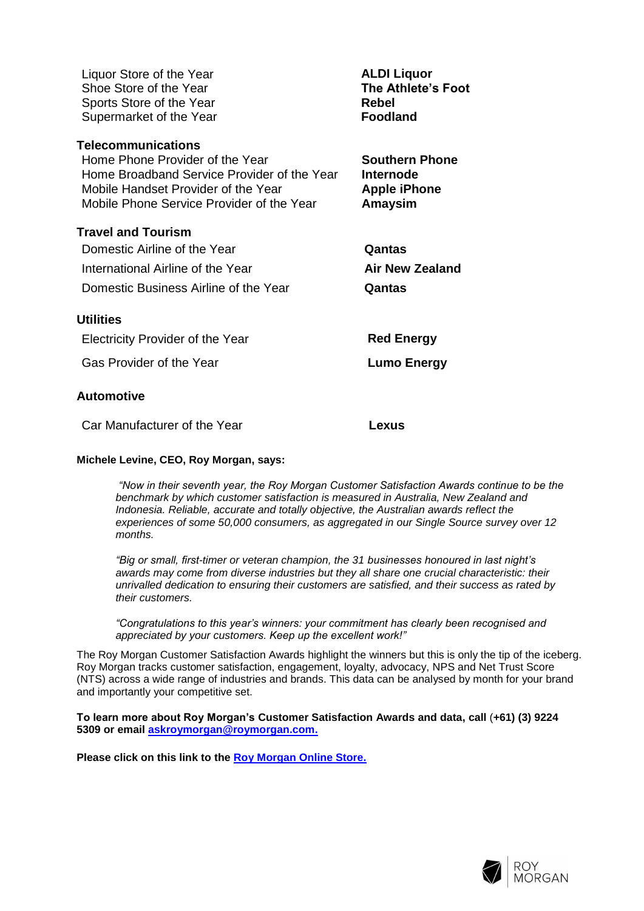| Liquor Store of the Year<br>Shoe Store of the Year<br>Sports Store of the Year<br>Supermarket of the Year                                                                                       | <b>ALDI Liquor</b><br><b>The Athlete's Foot</b><br><b>Rebel</b><br><b>Foodland</b> |
|-------------------------------------------------------------------------------------------------------------------------------------------------------------------------------------------------|------------------------------------------------------------------------------------|
| <b>Telecommunications</b><br>Home Phone Provider of the Year<br>Home Broadband Service Provider of the Year<br>Mobile Handset Provider of the Year<br>Mobile Phone Service Provider of the Year | <b>Southern Phone</b><br>Internode<br><b>Apple iPhone</b><br><b>Amaysim</b>        |
| <b>Travel and Tourism</b><br>Domestic Airline of the Year<br>International Airline of the Year<br>Domestic Business Airline of the Year                                                         | Qantas<br>Air New Zealand<br>Qantas                                                |
| <b>Utilities</b><br><b>Electricity Provider of the Year</b><br>Gas Provider of the Year                                                                                                         | <b>Red Energy</b><br>Lumo Energy                                                   |
| <b>Automotive</b>                                                                                                                                                                               |                                                                                    |

Car Manufacturer of the Year **Lexus**

### **Michele Levine, CEO, Roy Morgan, says:**

*"Now in their seventh year, the Roy Morgan Customer Satisfaction Awards continue to be the benchmark by which customer satisfaction is measured in Australia, New Zealand and Indonesia. Reliable, accurate and totally objective, the Australian awards reflect the experiences of some 50,000 consumers, as aggregated in our Single Source survey over 12 months.*

*"Big or small, first-timer or veteran champion, the 31 businesses honoured in last night's awards may come from diverse industries but they all share one crucial characteristic: their unrivalled dedication to ensuring their customers are satisfied, and their success as rated by their customers.*

*"Congratulations to this year's winners: your commitment has clearly been recognised and appreciated by your customers. Keep up the excellent work!"*

The Roy Morgan Customer Satisfaction Awards highlight the winners but this is only the tip of the iceberg. Roy Morgan tracks customer satisfaction, engagement, loyalty, advocacy, NPS and Net Trust Score (NTS) across a wide range of industries and brands. This data can be analysed by month for your brand and importantly your competitive set.

**To learn more about Roy Morgan's Customer Satisfaction Awards and data, call** (**+61) (3) 9224 5309 or email [askroymorgan@roymorgan.com.](mailto:askroymorgan@roymorgan.com)**

**Please click on this link to the [Roy Morgan Online Store.](http://www.roymorganonlinestore.com/)**